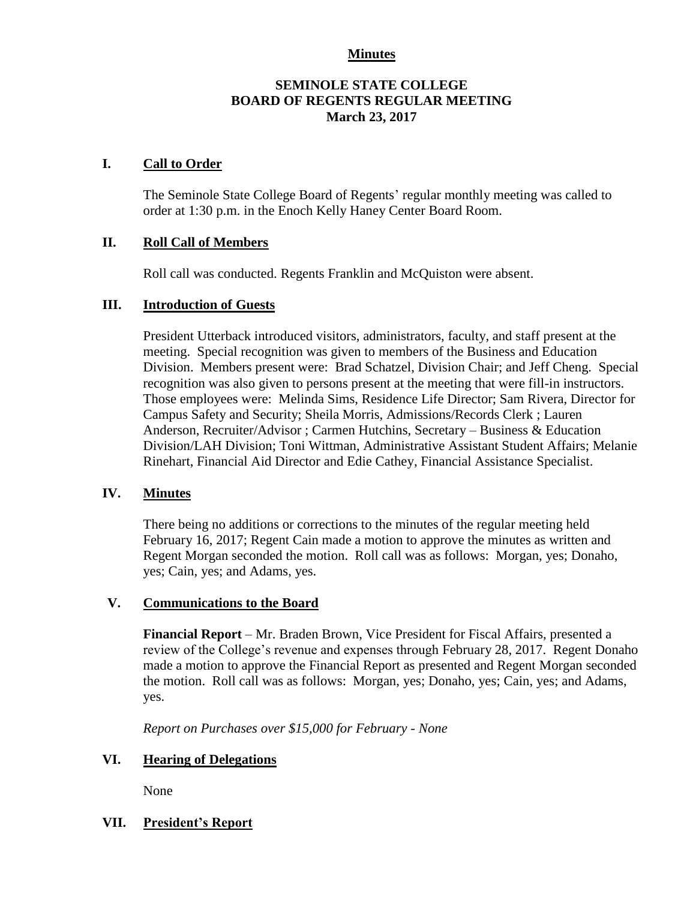#### **Minutes**

#### **SEMINOLE STATE COLLEGE BOARD OF REGENTS REGULAR MEETING March 23, 2017**

#### **I. Call to Order**

The Seminole State College Board of Regents' regular monthly meeting was called to order at 1:30 p.m. in the Enoch Kelly Haney Center Board Room.

#### **II. Roll Call of Members**

Roll call was conducted. Regents Franklin and McQuiston were absent.

#### **III. Introduction of Guests**

President Utterback introduced visitors, administrators, faculty, and staff present at the meeting. Special recognition was given to members of the Business and Education Division. Members present were: Brad Schatzel, Division Chair; and Jeff Cheng. Special recognition was also given to persons present at the meeting that were fill-in instructors. Those employees were: Melinda Sims, Residence Life Director; Sam Rivera, Director for Campus Safety and Security; Sheila Morris, Admissions/Records Clerk ; Lauren Anderson, Recruiter/Advisor ; Carmen Hutchins, Secretary – Business & Education Division/LAH Division; Toni Wittman, Administrative Assistant Student Affairs; Melanie Rinehart, Financial Aid Director and Edie Cathey, Financial Assistance Specialist.

# **IV. Minutes**

There being no additions or corrections to the minutes of the regular meeting held February 16, 2017; Regent Cain made a motion to approve the minutes as written and Regent Morgan seconded the motion. Roll call was as follows: Morgan, yes; Donaho, yes; Cain, yes; and Adams, yes.

# **V. Communications to the Board**

**Financial Report** – Mr. Braden Brown, Vice President for Fiscal Affairs, presented a review of the College's revenue and expenses through February 28, 2017. Regent Donaho made a motion to approve the Financial Report as presented and Regent Morgan seconded the motion. Roll call was as follows: Morgan, yes; Donaho, yes; Cain, yes; and Adams, yes.

*Report on Purchases over \$15,000 for February - None*

# **VI. Hearing of Delegations**

None

# **VII. President's Report**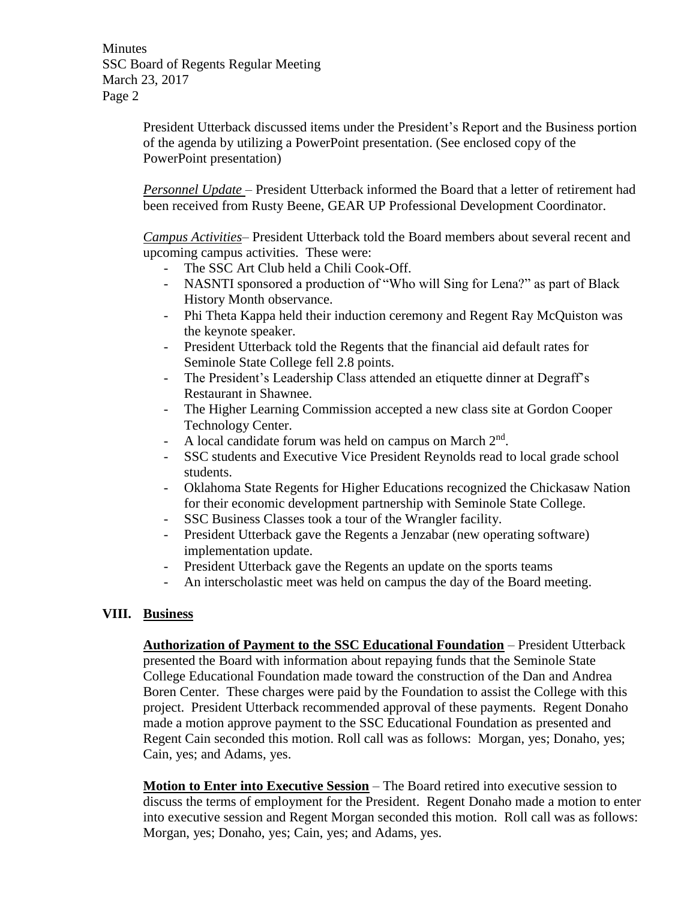**Minutes** SSC Board of Regents Regular Meeting March 23, 2017 Page 2

> President Utterback discussed items under the President's Report and the Business portion of the agenda by utilizing a PowerPoint presentation. (See enclosed copy of the PowerPoint presentation)

> *Personnel Update* – President Utterback informed the Board that a letter of retirement had been received from Rusty Beene, GEAR UP Professional Development Coordinator.

> *Campus Activities*– President Utterback told the Board members about several recent and upcoming campus activities. These were:

- The SSC Art Club held a Chili Cook-Off.
- NASNTI sponsored a production of "Who will Sing for Lena?" as part of Black History Month observance.
- Phi Theta Kappa held their induction ceremony and Regent Ray McQuiston was the keynote speaker.
- President Utterback told the Regents that the financial aid default rates for Seminole State College fell 2.8 points.
- The President's Leadership Class attended an etiquette dinner at Degraff's Restaurant in Shawnee.
- The Higher Learning Commission accepted a new class site at Gordon Cooper Technology Center.
- A local candidate forum was held on campus on March 2<sup>nd</sup>.
- SSC students and Executive Vice President Reynolds read to local grade school students.
- Oklahoma State Regents for Higher Educations recognized the Chickasaw Nation for their economic development partnership with Seminole State College.
- SSC Business Classes took a tour of the Wrangler facility.
- President Utterback gave the Regents a Jenzabar (new operating software) implementation update.
- President Utterback gave the Regents an update on the sports teams
- An interscholastic meet was held on campus the day of the Board meeting.

# **VIII. Business**

**Authorization of Payment to the SSC Educational Foundation** – President Utterback presented the Board with information about repaying funds that the Seminole State College Educational Foundation made toward the construction of the Dan and Andrea Boren Center. These charges were paid by the Foundation to assist the College with this project. President Utterback recommended approval of these payments. Regent Donaho made a motion approve payment to the SSC Educational Foundation as presented and Regent Cain seconded this motion. Roll call was as follows: Morgan, yes; Donaho, yes; Cain, yes; and Adams, yes.

**Motion to Enter into Executive Session** – The Board retired into executive session to discuss the terms of employment for the President. Regent Donaho made a motion to enter into executive session and Regent Morgan seconded this motion. Roll call was as follows: Morgan, yes; Donaho, yes; Cain, yes; and Adams, yes.